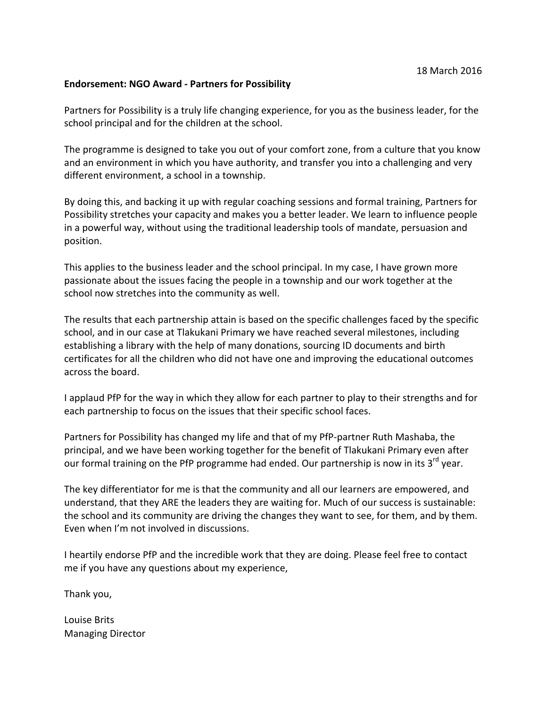## **Endorsement: NGO Award - Partners for Possibility**

Partners for Possibility is a truly life changing experience, for you as the business leader, for the school principal and for the children at the school.

The programme is designed to take you out of your comfort zone, from a culture that you know and an environment in which you have authority, and transfer you into a challenging and very different environment, a school in a township.

By doing this, and backing it up with regular coaching sessions and formal training, Partners for Possibility stretches your capacity and makes you a better leader. We learn to influence people in a powerful way, without using the traditional leadership tools of mandate, persuasion and position.

This applies to the business leader and the school principal. In my case, I have grown more passionate about the issues facing the people in a township and our work together at the school now stretches into the community as well.

The results that each partnership attain is based on the specific challenges faced by the specific school, and in our case at Tlakukani Primary we have reached several milestones, including establishing a library with the help of many donations, sourcing ID documents and birth certificates for all the children who did not have one and improving the educational outcomes across the board.

I applaud PfP for the way in which they allow for each partner to play to their strengths and for each partnership to focus on the issues that their specific school faces.

Partners for Possibility has changed my life and that of my PfP-partner Ruth Mashaba, the principal, and we have been working together for the benefit of Tlakukani Primary even after our formal training on the PfP programme had ended. Our partnership is now in its 3<sup>rd</sup> year.

The key differentiator for me is that the community and all our learners are empowered, and understand, that they ARE the leaders they are waiting for. Much of our success is sustainable: the school and its community are driving the changes they want to see, for them, and by them. Even when I'm not involved in discussions.

I heartily endorse PfP and the incredible work that they are doing. Please feel free to contact me if you have any questions about my experience,

Thank you,

Louise Brits Managing Director